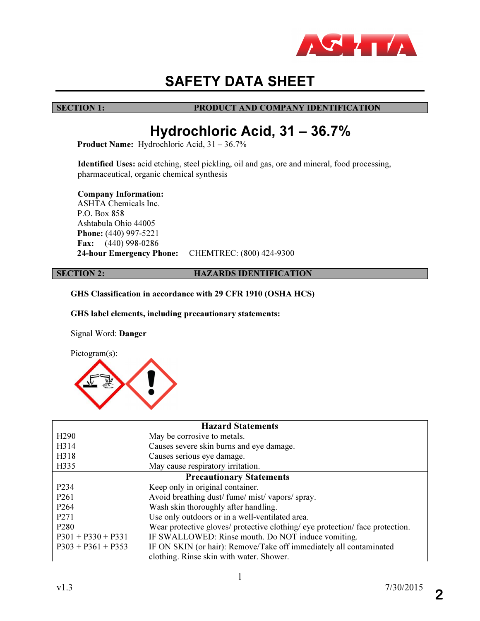

# SAFETY DATA SHEET

# SECTION 1: PRODUCT AND COMPANY IDENTIFICATION

# Hydrochloric Acid, 31 – 36.7%

Product Name: Hydrochloric Acid, 31 – 36.7%

Identified Uses: acid etching, steel pickling, oil and gas, ore and mineral, food processing, pharmaceutical, organic chemical synthesis

Company Information:

 ASHTA Chemicals Inc. P.O. Box 858 Ashtabula Ohio 44005 Phone: (440) 997-5221 Fax: (440) 998-0286 24-hour Emergency Phone: CHEMTREC: (800) 424-9300

# SECTION 2: **HAZARDS IDENTIFICATION**

GHS Classification in accordance with 29 CFR 1910 (OSHA HCS)

GHS label elements, including precautionary statements:

Signal Word: Danger



| <b>Hazard Statements</b>        |                                                                               |  |
|---------------------------------|-------------------------------------------------------------------------------|--|
| H <sub>290</sub>                | May be corrosive to metals.                                                   |  |
| H314                            | Causes severe skin burns and eye damage.                                      |  |
| H318                            | Causes serious eye damage.                                                    |  |
| H335                            | May cause respiratory irritation.                                             |  |
| <b>Precautionary Statements</b> |                                                                               |  |
| P234                            | Keep only in original container.                                              |  |
| P <sub>261</sub>                | Avoid breathing dust/fume/mist/vapors/spray.                                  |  |
| P <sub>264</sub>                | Wash skin thoroughly after handling.                                          |  |
| P <sub>271</sub>                | Use only outdoors or in a well-ventilated area.                               |  |
| P <sub>280</sub>                | Wear protective gloves/ protective clothing/ eye protection/ face protection. |  |
| $P301 + P330 + P331$            | IF SWALLOWED: Rinse mouth. Do NOT induce vomiting.                            |  |
| $P303 + P361 + P353$            | IF ON SKIN (or hair): Remove/Take off immediately all contaminated            |  |
|                                 | clothing. Rinse skin with water. Shower.                                      |  |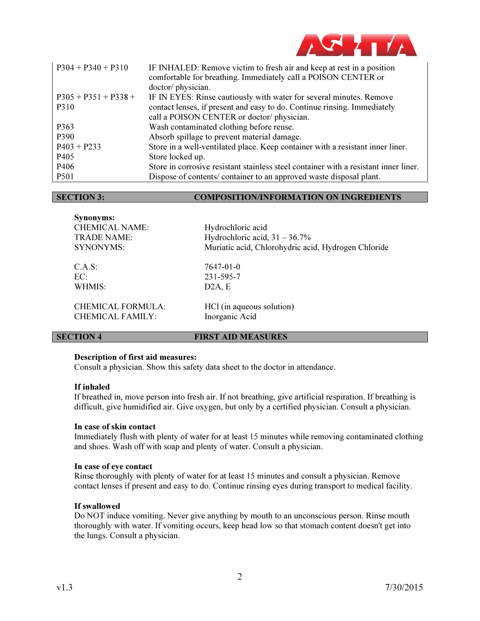

| $P304 + P340 + P310$   | IF INHALED: Remove victim to fresh air and keep at rest in a position<br>comfortable for breathing. Immediately call a POISON CENTER or<br>doctor/physician. |
|------------------------|--------------------------------------------------------------------------------------------------------------------------------------------------------------|
| $P305 + P351 + P338 +$ | IF IN EYES: Rinse cautiously with water for several minutes. Remove                                                                                          |
| P310                   | contact lenses, if present and easy to do. Continue rinsing. Immediately                                                                                     |
|                        | call a POISON CENTER or doctor/physician.                                                                                                                    |
| P363                   | Wash contaminated clothing before reuse.                                                                                                                     |
| P390                   | Absorb spillage to prevent material damage.                                                                                                                  |
| $P403 + P233$          | Store in a well-ventilated place. Keep container with a resistant inner liner.                                                                               |
| P405                   | Store locked up.                                                                                                                                             |
| P <sub>406</sub>       | Store in corrosive resistant stainless steel container with a resistant inner liner.                                                                         |
| P501                   | Dispose of contents/ container to an approved waste disposal plant.                                                                                          |

### SECTION 3: COMPOSITION/INFORMATION ON INGREDIENTS

| <b>Synonyms:</b><br><b>CHEMICAL NAME:</b><br><b>TRADE NAME:</b><br>SYNONYMS: | Hydrochloric acid<br>Hydrochloric acid, $31 - 36.7\%$<br>Muriatic acid, Chlorohydric acid, Hydrogen Chloride |
|------------------------------------------------------------------------------|--------------------------------------------------------------------------------------------------------------|
| C.A.S:                                                                       | 7647-01-0                                                                                                    |
| EC:                                                                          | 231-595-7                                                                                                    |
| WHMIS:                                                                       | D2A, E                                                                                                       |
| <b>CHEMICAL FORMULA:</b>                                                     | HCl (in aqueous solution)                                                                                    |
| CHEMICAL FAMILY:                                                             | Inorganic Acid                                                                                               |

# **SECTION 4** FIRST AID MEASURES

### Description of first aid measures:

Consult a physician. Show this safety data sheet to the doctor in attendance.

### If inhaled

If breathed in, move person into fresh air. If not breathing, give artificial respiration. If breathing is difficult, give humidified air. Give oxygen, but only by a certified physician. Consult a physician.

### In case of skin contact

Immediately flush with plenty of water for at least 15 minutes while removing contaminated clothing and shoes. Wash off with soap and plenty of water. Consult a physician.

# In case of eye contact

Rinse thoroughly with plenty of water for at least 15 minutes and consult a physician. Remove contact lenses if present and easy to do. Continue rinsing eyes during transport to medical facility.

# If swallowed

Do NOT induce vomiting. Never give anything by mouth to an unconscious person. Rinse mouth thoroughly with water. If vomiting occurs, keep head low so that stomach content doesn't get into the lungs. Consult a physician.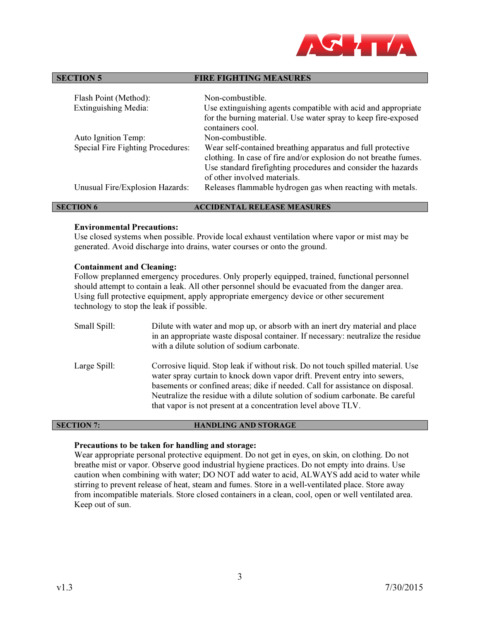

# SECTION 5 FIRE FIGHTING MEASURES

| Flash Point (Method):             | Non-combustible.                                                                                                                                                                                 |
|-----------------------------------|--------------------------------------------------------------------------------------------------------------------------------------------------------------------------------------------------|
| <b>Extinguishing Media:</b>       | Use extinguishing agents compatible with acid and appropriate                                                                                                                                    |
|                                   | for the burning material. Use water spray to keep fire-exposed<br>containers cool.                                                                                                               |
| Auto Ignition Temp:               | Non-combustible.                                                                                                                                                                                 |
| Special Fire Fighting Procedures: | Wear self-contained breathing apparatus and full protective<br>clothing. In case of fire and/or explosion do not breathe fumes.<br>Use standard firefighting procedures and consider the hazards |
|                                   | of other involved materials.                                                                                                                                                                     |
| Unusual Fire/Explosion Hazards:   | Releases flammable hydrogen gas when reacting with metals.                                                                                                                                       |
|                                   |                                                                                                                                                                                                  |

### SECTION 6 ACCIDENTAL RELEASE MEASURES

### Environmental Precautions:

Use closed systems when possible. Provide local exhaust ventilation where vapor or mist may be generated. Avoid discharge into drains, water courses or onto the ground.

### Containment and Cleaning:

Follow preplanned emergency procedures. Only properly equipped, trained, functional personnel should attempt to contain a leak. All other personnel should be evacuated from the danger area. Using full protective equipment, apply appropriate emergency device or other securement technology to stop the leak if possible.

| Small Spill: | Dilute with water and mop up, or absorb with an inert dry material and place<br>in an appropriate waste disposal container. If necessary: neutralize the residue<br>with a dilute solution of sodium carbonate.                                                                                                                                                                                 |
|--------------|-------------------------------------------------------------------------------------------------------------------------------------------------------------------------------------------------------------------------------------------------------------------------------------------------------------------------------------------------------------------------------------------------|
| Large Spill: | Corrosive liquid. Stop leak if without risk. Do not touch spilled material. Use<br>water spray curtain to knock down vapor drift. Prevent entry into sewers,<br>basements or confined areas; dike if needed. Call for assistance on disposal.<br>Neutralize the residue with a dilute solution of sodium carbonate. Be careful<br>that vapor is not present at a concentration level above TLV. |

# SECTION 7: HANDLING AND STORAGE

# Precautions to be taken for handling and storage:

Wear appropriate personal protective equipment. Do not get in eyes, on skin, on clothing. Do not breathe mist or vapor. Observe good industrial hygiene practices. Do not empty into drains. Use caution when combining with water; DO NOT add water to acid, ALWAYS add acid to water while stirring to prevent release of heat, steam and fumes. Store in a well-ventilated place. Store away from incompatible materials. Store closed containers in a clean, cool, open or well ventilated area. Keep out of sun.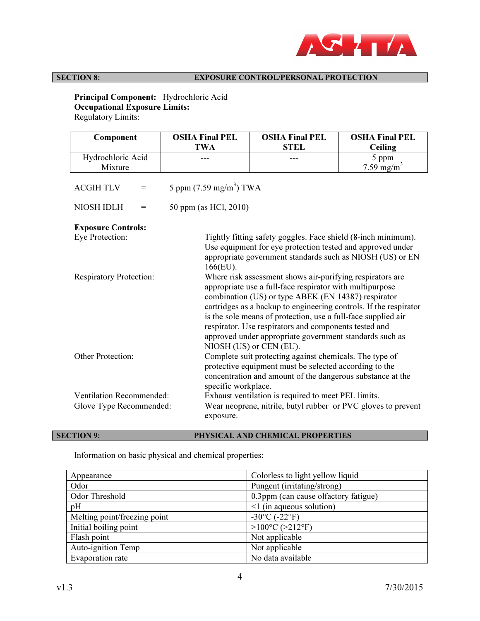

# SECTION 8: EXPOSURE CONTROL/PERSONAL PROTECTION

 Principal Component: Hydrochloric Acid Occupational Exposure Limits: Regulatory Limits:

| Component                                                  | <b>OSHA Final PEL</b>             | <b>OSHA Final PEL</b>                                                                                                                                                                                                                                                                                                                                                                                                                                             | <b>OSHA Final PEL</b>  |
|------------------------------------------------------------|-----------------------------------|-------------------------------------------------------------------------------------------------------------------------------------------------------------------------------------------------------------------------------------------------------------------------------------------------------------------------------------------------------------------------------------------------------------------------------------------------------------------|------------------------|
|                                                            | <b>TWA</b>                        | <b>STEL</b>                                                                                                                                                                                                                                                                                                                                                                                                                                                       | <b>Ceiling</b>         |
| Hydrochloric Acid                                          |                                   |                                                                                                                                                                                                                                                                                                                                                                                                                                                                   | 5 ppm                  |
| Mixture                                                    |                                   |                                                                                                                                                                                                                                                                                                                                                                                                                                                                   | 7.59 mg/m <sup>3</sup> |
| <b>ACGIH TLV</b><br>$=$                                    | 5 ppm $(7.59 \text{ mg/m}^3)$ TWA |                                                                                                                                                                                                                                                                                                                                                                                                                                                                   |                        |
| <b>NIOSH IDLH</b><br>$=$                                   | 50 ppm (as HCl, 2010)             |                                                                                                                                                                                                                                                                                                                                                                                                                                                                   |                        |
| <b>Exposure Controls:</b>                                  |                                   |                                                                                                                                                                                                                                                                                                                                                                                                                                                                   |                        |
| Eye Protection:                                            | $166$ (EU).                       | Tightly fitting safety goggles. Face shield (8-inch minimum).<br>Use equipment for eye protection tested and approved under<br>appropriate government standards such as NIOSH (US) or EN                                                                                                                                                                                                                                                                          |                        |
| <b>Respiratory Protection:</b>                             |                                   | Where risk assessment shows air-purifying respirators are<br>appropriate use a full-face respirator with multipurpose<br>combination (US) or type ABEK (EN 14387) respirator<br>cartridges as a backup to engineering controls. If the respirator<br>is the sole means of protection, use a full-face supplied air<br>respirator. Use respirators and components tested and<br>approved under appropriate government standards such as<br>NIOSH (US) or CEN (EU). |                        |
| <b>Other Protection:</b>                                   | specific workplace.               | Complete suit protecting against chemicals. The type of<br>protective equipment must be selected according to the<br>concentration and amount of the dangerous substance at the                                                                                                                                                                                                                                                                                   |                        |
| <b>Ventilation Recommended:</b><br>Glove Type Recommended: | exposure.                         | Exhaust ventilation is required to meet PEL limits.<br>Wear neoprene, nitrile, butyl rubber or PVC gloves to prevent                                                                                                                                                                                                                                                                                                                                              |                        |

SECTION 9: PHYSICAL AND CHEMICAL PROPERTIES

Information on basic physical and chemical properties:

| Appearance                   | Colorless to light yellow liquid     |
|------------------------------|--------------------------------------|
| Odor                         | Pungent (irritating/strong)          |
| Odor Threshold               | 0.3ppm (can cause olfactory fatigue) |
| pH                           | $\leq$ 1 (in aqueous solution)       |
| Melting point/freezing point | $-30^{\circ}$ C ( $-22^{\circ}$ F)   |
| Initial boiling point        | $>100^{\circ}C$ ( $>212^{\circ}F$ )  |
| Flash point                  | Not applicable                       |
| Auto-ignition Temp           | Not applicable                       |
| Evaporation rate             | No data available                    |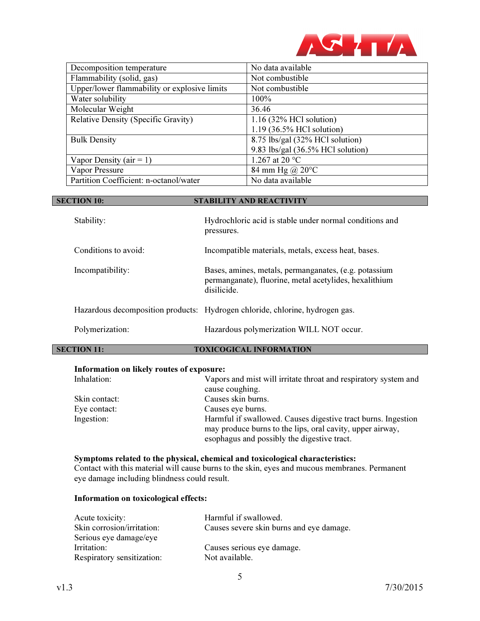

| Decomposition temperature                    | No data available                            |
|----------------------------------------------|----------------------------------------------|
| Flammability (solid, gas)                    | Not combustible                              |
| Upper/lower flammability or explosive limits | Not combustible                              |
| Water solubility                             | 100%                                         |
| Molecular Weight                             | 36.46                                        |
| <b>Relative Density (Specific Gravity)</b>   | $1.16$ (32% HCl solution)                    |
|                                              | 1.19 (36.5% HCl solution)                    |
| <b>Bulk Density</b>                          | 8.75 lbs/gal (32% HCl solution)              |
|                                              | 9.83 lbs/gal $(36.5\% \text{ HCl}$ solution) |
| Vapor Density ( $air = 1$ )                  | 1.267 at 20 °C                               |
| Vapor Pressure                               | 84 mm Hg @ $20^{\circ}$ C                    |
| Partition Coefficient: n-octanol/water       | No data available                            |

| <b>SECTION 10:</b>   | <b>STABILITY AND REACTIVITY</b>                                                                                                |
|----------------------|--------------------------------------------------------------------------------------------------------------------------------|
| Stability:           | Hydrochloric acid is stable under normal conditions and<br>pressures.                                                          |
| Conditions to avoid: | Incompatible materials, metals, excess heat, bases.                                                                            |
| Incompatibility:     | Bases, amines, metals, permanganates, (e.g. potassium<br>permanganate), fluorine, metal acetylides, hexalithium<br>disilicide. |
|                      | Hazardous decomposition products: Hydrogen chloride, chlorine, hydrogen gas.                                                   |
| Polymerization:      | Hazardous polymerization WILL NOT occur.                                                                                       |

# SECTION 11: TOXICOGICAL INFORMATION

# Information on likely routes of exposure:

| Inhalation:   | Vapors and mist will irritate throat and respiratory system and<br>cause coughing. |
|---------------|------------------------------------------------------------------------------------|
| Skin contact: | Causes skin burns.                                                                 |
| Eye contact:  | Causes eye burns.                                                                  |
| Ingestion:    | Harmful if swallowed. Causes digestive tract burns. Ingestion                      |
|               | may produce burns to the lips, oral cavity, upper airway,                          |
|               | esophagus and possibly the digestive tract.                                        |

# Symptoms related to the physical, chemical and toxicological characteristics: Contact with this material will cause burns to the skin, eyes and mucous membranes. Permanent eye damage including blindness could result.

# Information on toxicological effects:

| Acute toxicity:            | Harmful if swallowed.                    |
|----------------------------|------------------------------------------|
| Skin corrosion/irritation: | Causes severe skin burns and eye damage. |
| Serious eye damage/eye     |                                          |
| Irritation:                | Causes serious eye damage.               |
| Respiratory sensitization: | Not available.                           |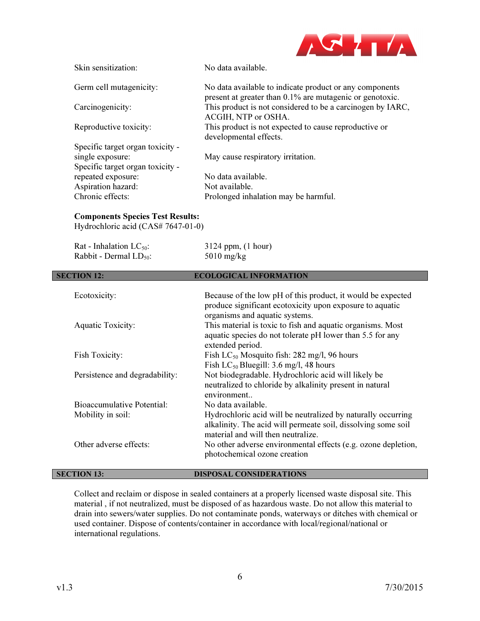

| Skin sensitization:              | No data available.                                                                                                  |
|----------------------------------|---------------------------------------------------------------------------------------------------------------------|
| Germ cell mutagenicity:          | No data available to indicate product or any components<br>present at greater than 0.1% are mutagenic or genotoxic. |
| Carcinogenicity:                 | This product is not considered to be a carcinogen by IARC,<br>ACGIH, NTP or OSHA.                                   |
| Reproductive toxicity:           | This product is not expected to cause reproductive or<br>developmental effects.                                     |
| Specific target organ toxicity - |                                                                                                                     |
| single exposure:                 | May cause respiratory irritation.                                                                                   |
| Specific target organ toxicity - |                                                                                                                     |
| repeated exposure:               | No data available.                                                                                                  |
| Aspiration hazard:               | Not available.                                                                                                      |
| Chronic effects:                 | Prolonged inhalation may be harmful.                                                                                |

# Components Species Test Results:

Hydrochloric acid (CAS# 7647-01-0)

| Rat - Inhalation $LC_{50}$ :   | 3124 ppm, (1 hour)                                                                                                                                                  |
|--------------------------------|---------------------------------------------------------------------------------------------------------------------------------------------------------------------|
| Rabbit - Dermal $LD_{50}$ :    | $5010$ mg/kg                                                                                                                                                        |
| <b>SECTION 12:</b>             | <b>ECOLOGICAL INFORMATION</b>                                                                                                                                       |
| Ecotoxicity:                   | Because of the low pH of this product, it would be expected<br>produce significant ecotoxicity upon exposure to aquatic<br>organisms and aquatic systems.           |
| <b>Aquatic Toxicity:</b>       | This material is toxic to fish and aquatic organisms. Most<br>aquatic species do not tolerate pH lower than 5.5 for any<br>extended period.                         |
| <b>Fish Toxicity:</b>          | Fish $LC_{50}$ Mosquito fish: 282 mg/l, 96 hours<br>Fish $LC_{50}$ Bluegill: 3.6 mg/l, 48 hours                                                                     |
| Persistence and degradability: | Not biodegradable. Hydrochloric acid will likely be<br>neutralized to chloride by alkalinity present in natural<br>environment                                      |
| Bioaccumulative Potential:     | No data available.                                                                                                                                                  |
| Mobility in soil:              | Hydrochloric acid will be neutralized by naturally occurring<br>alkalinity. The acid will permeate soil, dissolving some soil<br>material and will then neutralize. |
| Other adverse effects:         | No other adverse environmental effects (e.g. ozone depletion,<br>photochemical ozone creation                                                                       |
| <b>SECTION 13:</b>             | <b>DISPOSAL CONSIDERATIONS</b>                                                                                                                                      |

# Collect and reclaim or dispose in sealed containers at a properly licensed waste disposal site. This material , if not neutralized, must be disposed of as hazardous waste. Do not allow this material to drain into sewers/water supplies. Do not contaminate ponds, waterways or ditches with chemical or used container. Dispose of contents/container in accordance with local/regional/national or international regulations.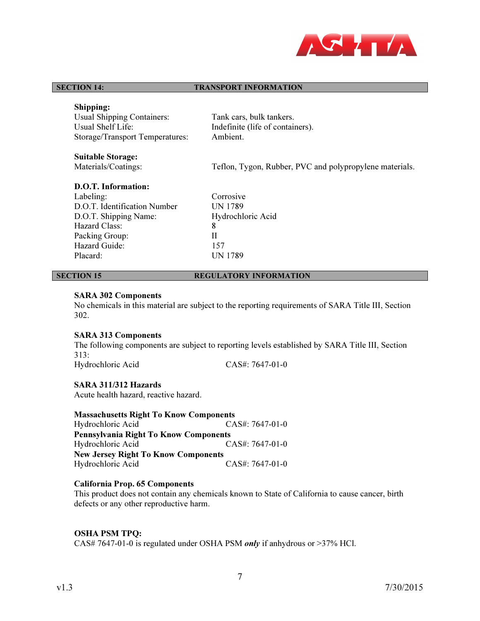

### **SECTION 14:** TRANSPORT INFORMATION

# Shipping:

 Usual Shipping Containers: Tank cars, bulk tankers. Usual Shelf Life: Indefinite (life of containers). Storage/Transport Temperatures: Ambient.

Suitable Storage:<br>Materials/Coatings:

Teflon, Tygon, Rubber, PVC and polypropylene materials.

# D.O.T. Information:

Labeling: Corrosive D.O.T. Identification Number<br>D.O.T. Shipping Name: Hydrochloric Acid D.O.T. Shipping Name: Hazard Class: 8 Packing Group: II Hazard Guide: 157 Placard: UN 1789

# **SECTION 15** REGULATORY INFORMATION

# SARA 302 Components

No chemicals in this material are subject to the reporting requirements of SARA Title III, Section 302.

### SARA 313 Components

The following components are subject to reporting levels established by SARA Title III, Section 313:

Hydrochloric Acid CAS#: 7647-01-0

# SARA 311/312 Hazards

Acute health hazard, reactive hazard.

Massachusetts Right To Know Components Hydrochloric Acid CAS#: 7647-01-0 Pennsylvania Right To Know Components Hydrochloric Acid CAS#: 7647-01-0 New Jersey Right To Know Components Hydrochloric Acid CAS#: 7647-01-0

# California Prop. 65 Components

This product does not contain any chemicals known to State of California to cause cancer, birth defects or any other reproductive harm.

# OSHA PSM TPQ:

CAS# 7647-01-0 is regulated under OSHA PSM *only* if anhydrous or >37% HCl.